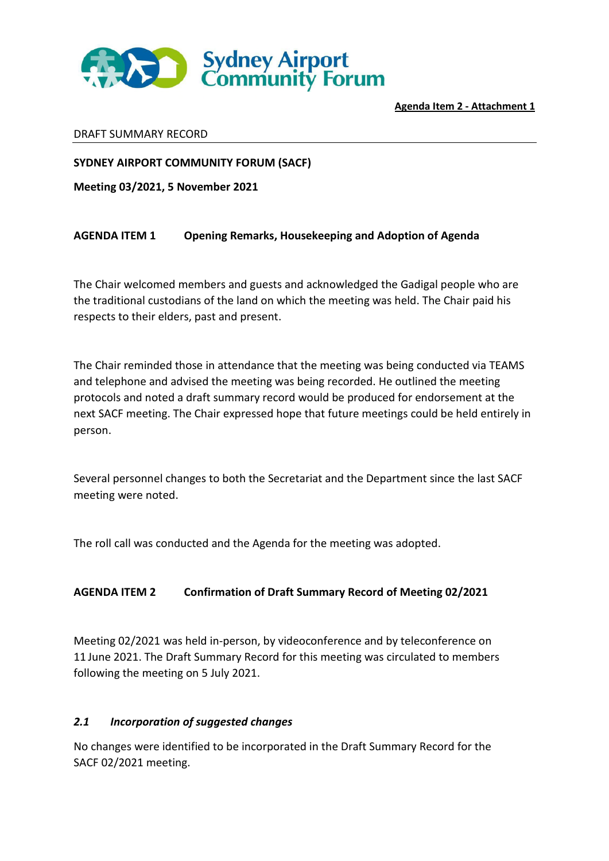

#### DRAFT SUMMARY RECORD

**SYDNEY AIRPORT COMMUNITY FORUM (SACF)** 

**Meeting 03/2021, 5 November 2021** 

## **AGENDA ITEM 1 Opening Remarks, Housekeeping and Adoption of Agenda**

The Chair welcomed members and guests and acknowledged the Gadigal people who are the traditional custodians of the land on which the meeting was held. The Chair paid his respects to their elders, past and present.

The Chair reminded those in attendance that the meeting was being conducted via TEAMS and telephone and advised the meeting was being recorded. He outlined the meeting protocols and noted a draft summary record would be produced for endorsement at the next SACF meeting. The Chair expressed hope that future meetings could be held entirely in person.

Several personnel changes to both the Secretariat and the Department since the last SACF meeting were noted.

The roll call was conducted and the Agenda for the meeting was adopted.

## **AGENDA ITEM 2 Confirmation of Draft Summary Record of Meeting 02/2021**

Meeting 02/2021 was held in-person, by videoconference and by teleconference on 11 June 2021. The Draft Summary Record for this meeting was circulated to members following the meeting on 5 July 2021.

#### *2.1 Incorporation of suggested changes*

No changes were identified to be incorporated in the Draft Summary Record for the SACF 02/2021 meeting.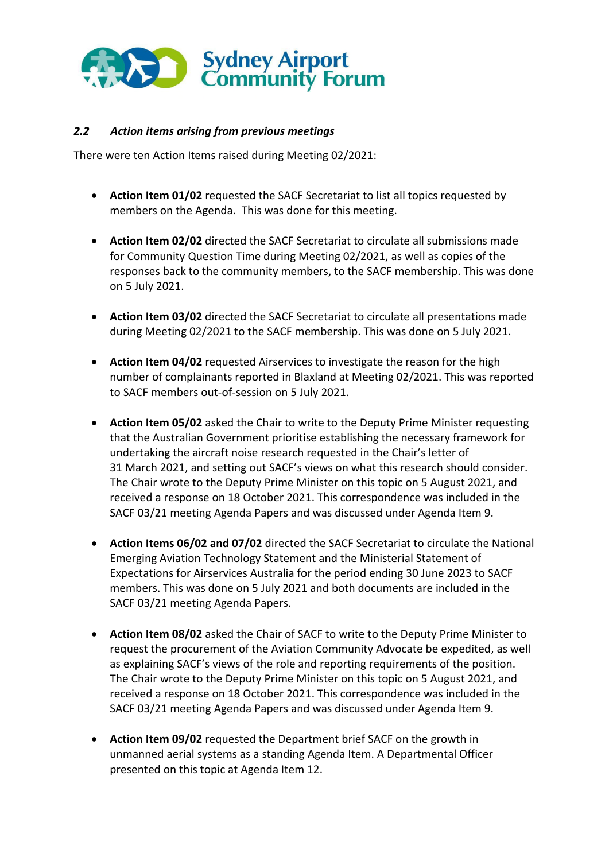

## *2.2 Action items arising from previous meetings*

There were ten Action Items raised during Meeting 02/2021:

- **Action Item 01/02** requested the SACF Secretariat to list all topics requested by members on the Agenda. This was done for this meeting.
- **Action Item 02/02** directed the SACF Secretariat to circulate all submissions made for Community Question Time during Meeting 02/2021, as well as copies of the responses back to the community members, to the SACF membership. This was done on 5 July 2021.
- **Action Item 03/02** directed the SACF Secretariat to circulate all presentations made during Meeting 02/2021 to the SACF membership. This was done on 5 July 2021.
- **Action Item 04/02** requested Airservices to investigate the reason for the high number of complainants reported in Blaxland at Meeting 02/2021. This was reported to SACF members out-of-session on 5 July 2021.
- **Action Item 05/02** asked the Chair to write to the Deputy Prime Minister requesting that the Australian Government prioritise establishing the necessary framework for undertaking the aircraft noise research requested in the Chair's letter of 31 March 2021, and setting out SACF's views on what this research should consider. The Chair wrote to the Deputy Prime Minister on this topic on 5 August 2021, and received a response on 18 October 2021. This correspondence was included in the SACF 03/21 meeting Agenda Papers and was discussed under Agenda Item 9.
- **Action Items 06/02 and 07/02** directed the SACF Secretariat to circulate the National Emerging Aviation Technology Statement and the Ministerial Statement of Expectations for Airservices Australia for the period ending 30 June 2023 to SACF members. This was done on 5 July 2021 and both documents are included in the SACF 03/21 meeting Agenda Papers.
- **Action Item 08/02** asked the Chair of SACF to write to the Deputy Prime Minister to request the procurement of the Aviation Community Advocate be expedited, as well as explaining SACF's views of the role and reporting requirements of the position. The Chair wrote to the Deputy Prime Minister on this topic on 5 August 2021, and received a response on 18 October 2021. This correspondence was included in the SACF 03/21 meeting Agenda Papers and was discussed under Agenda Item 9.
- **Action Item 09/02** requested the Department brief SACF on the growth in unmanned aerial systems as a standing Agenda Item. A Departmental Officer presented on this topic at Agenda Item 12.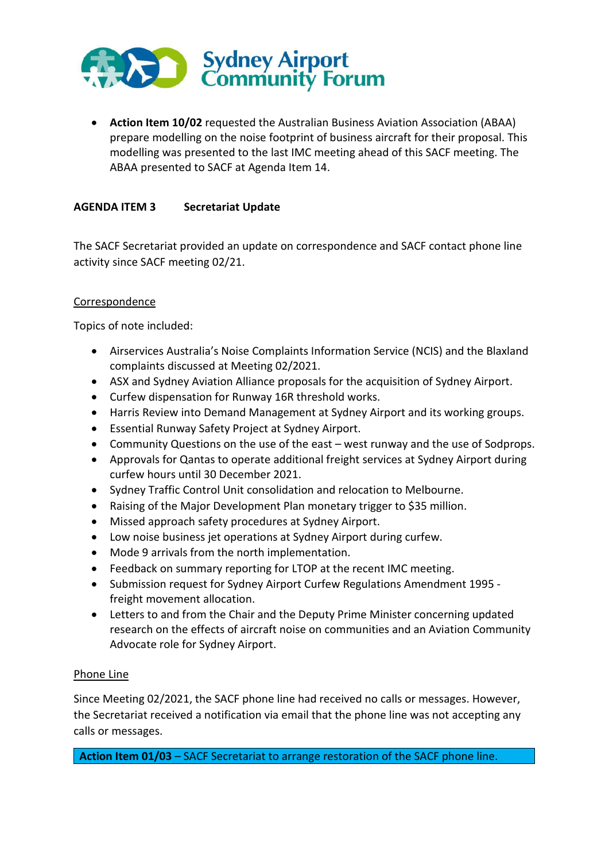

**• Action Item 10/02** requested the Australian Business Aviation Association (ABAA) prepare modelling on the noise footprint of business aircraft for their proposal. This modelling was presented to the last IMC meeting ahead of this SACF meeting. The ABAA presented to SACF at Agenda Item 14.

## **AGENDA ITEM 3 Secretariat Update**

The SACF Secretariat provided an update on correspondence and SACF contact phone line activity since SACF meeting 02/21.

#### Correspondence

Topics of note included:

- Airservices Australia's Noise Complaints Information Service (NCIS) and the Blaxland complaints discussed at Meeting 02/2021.
- ASX and Sydney Aviation Alliance proposals for the acquisition of Sydney Airport.
- Curfew dispensation for Runway 16R threshold works.
- Harris Review into Demand Management at Sydney Airport and its working groups.
- Essential Runway Safety Project at Sydney Airport.
- Community Questions on the use of the east west runway and the use of Sodprops.
- Approvals for Qantas to operate additional freight services at Sydney Airport during curfew hours until 30 December 2021.
- Sydney Traffic Control Unit consolidation and relocation to Melbourne.
- Raising of the Major Development Plan monetary trigger to \$35 million.
- Missed approach safety procedures at Sydney Airport.
- Low noise business jet operations at Sydney Airport during curfew.
- Mode 9 arrivals from the north implementation.
- Feedback on summary reporting for LTOP at the recent IMC meeting.
- Submission request for Sydney Airport Curfew Regulations Amendment 1995 freight movement allocation.
- Letters to and from the Chair and the Deputy Prime Minister concerning updated research on the effects of aircraft noise on communities and an Aviation Community Advocate role for Sydney Airport.

#### Phone Line

Since Meeting 02/2021, the SACF phone line had received no calls or messages. However, the Secretariat received a notification via email that the phone line was not accepting any calls or messages.

**Action Item 01/03** – SACF Secretariat to arrange restoration of the SACF phone line.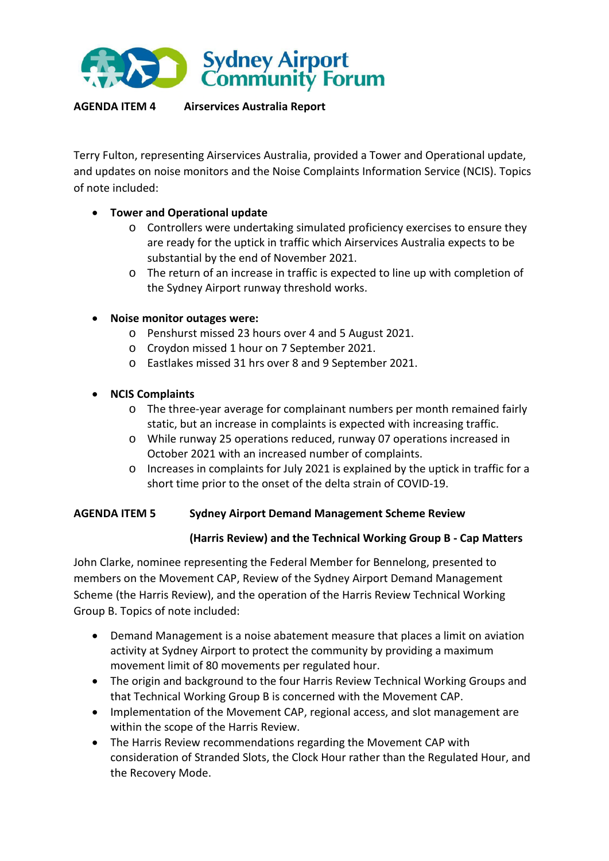

## **AGENDA ITEM 4 Airservices Australia Report**

Terry Fulton, representing Airservices Australia, provided a Tower and Operational update, and updates on noise monitors and the Noise Complaints Information Service (NCIS). Topics of note included:

## **Tower and Operational update**

- o Controllers were undertaking simulated proficiency exercises to ensure they are ready for the uptick in traffic which Airservices Australia expects to be substantial by the end of November 2021.
- o The return of an increase in traffic is expected to line up with completion of the Sydney Airport runway threshold works.
- **Noise monitor outages were:** 
	- o Penshurst missed 23 hours over 4 and 5 August 2021.
	- o Croydon missed 1 hour on 7 September 2021.
	- o Eastlakes missed 31 hrs over 8 and 9 September 2021.
- **NCIS Complaints** 
	- o The three-year average for complainant numbers per month remained fairly static, but an increase in complaints is expected with increasing traffic.
	- o While runway 25 operations reduced, runway 07 operations increased in October 2021 with an increased number of complaints.
	- o Increases in complaints for July 2021 is explained by the uptick in traffic for a short time prior to the onset of the delta strain of COVID-19.

#### **AGENDA ITEM 5 Sydney Airport Demand Management Scheme Review**

#### **(Harris Review) and the Technical Working Group B - Cap Matters**

John Clarke, nominee representing the Federal Member for Bennelong, presented to members on the Movement CAP, Review of the Sydney Airport Demand Management Scheme (the Harris Review), and the operation of the Harris Review Technical Working Group B. Topics of note included:

- Demand Management is a noise abatement measure that places a limit on aviation activity at Sydney Airport to protect the community by providing a maximum movement limit of 80 movements per regulated hour.
- The origin and background to the four Harris Review Technical Working Groups and that Technical Working Group B is concerned with the Movement CAP.
- Implementation of the Movement CAP, regional access, and slot management are within the scope of the Harris Review.
- The Harris Review recommendations regarding the Movement CAP with consideration of Stranded Slots, the Clock Hour rather than the Regulated Hour, and the Recovery Mode.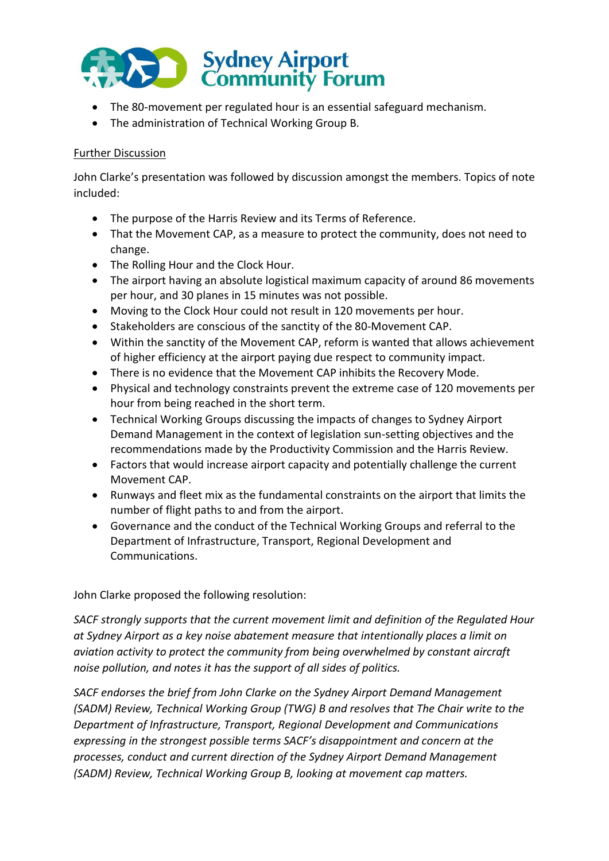

- The 80-movement per regulated hour is an essential safeguard mechanism.
- The administration of Technical Working Group B.

## Further Discussion

John Clarke's presentation was followed by discussion amongst the members. Topics of note included:

- The purpose of the Harris Review and its Terms of Reference.
- That the Movement CAP, as a measure to protect the community, does not need to change.
- The Rolling Hour and the Clock Hour.
- The airport having an absolute logistical maximum capacity of around 86 movements per hour, and 30 planes in 15 minutes was not possible.
- Moving to the Clock Hour could not result in 120 movements per hour.
- Stakeholders are conscious of the sanctity of the 80-Movement CAP.
- Within the sanctity of the Movement CAP, reform is wanted that allows achievement of higher efficiency at the airport paying due respect to community impact.
- There is no evidence that the Movement CAP inhibits the Recovery Mode.
- Physical and technology constraints prevent the extreme case of 120 movements per hour from being reached in the short term.
- Technical Working Groups discussing the impacts of changes to Sydney Airport Demand Management in the context of legislation sun-setting objectives and the recommendations made by the Productivity Commission and the Harris Review.
- Factors that would increase airport capacity and potentially challenge the current Movement CAP.
- Runways and fleet mix as the fundamental constraints on the airport that limits the number of flight paths to and from the airport.
- Governance and the conduct of the Technical Working Groups and referral to the Department of Infrastructure, Transport, Regional Development and Communications.

## John Clarke proposed the following resolution:

*SACF strongly supports that the current movement limit and definition of the Regulated Hour at Sydney Airport as a key noise abatement measure that intentionally places a limit on aviation activity to protect the community from being overwhelmed by constant aircraft noise pollution, and notes it has the support of all sides of politics.* 

*SACF endorses the brief from John Clarke on the Sydney Airport Demand Management (SADM) Review, Technical Working Group (TWG) B and resolves that The Chair write to the Department of Infrastructure, Transport, Regional Development and Communications expressing in the strongest possible terms SACF's disappointment and concern at the processes, conduct and current direction of the Sydney Airport Demand Management (SADM) Review, Technical Working Group B, looking at movement cap matters.*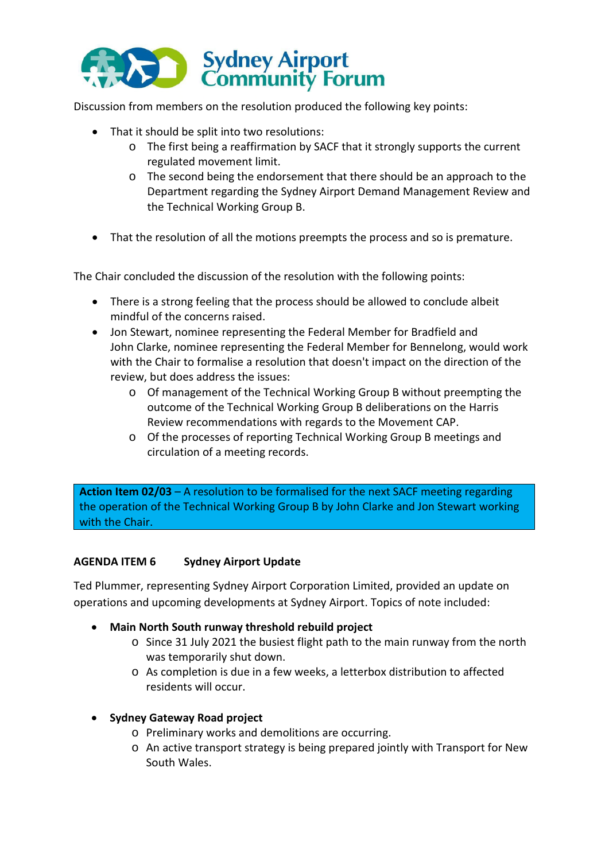

Discussion from members on the resolution produced the following key points:

- That it should be split into two resolutions:
	- o The first being a reaffirmation by SACF that it strongly supports the current regulated movement limit.
	- o The second being the endorsement that there should be an approach to the Department regarding the Sydney Airport Demand Management Review and the Technical Working Group B.
- That the resolution of all the motions preempts the process and so is premature.

The Chair concluded the discussion of the resolution with the following points:

- There is a strong feeling that the process should be allowed to conclude albeit mindful of the concerns raised.
- Jon Stewart, nominee representing the Federal Member for Bradfield and John Clarke, nominee representing the Federal Member for Bennelong, would work with the Chair to formalise a resolution that doesn't impact on the direction of the review, but does address the issues:
	- o Of management of the Technical Working Group B without preempting the outcome of the Technical Working Group B deliberations on the Harris Review recommendations with regards to the Movement CAP.
	- o Of the processes of reporting Technical Working Group B meetings and circulation of a meeting records.

**Action Item 02/03** – A resolution to be formalised for the next SACF meeting regarding the operation of the Technical Working Group B by John Clarke and Jon Stewart working with the Chair.

#### **AGENDA ITEM 6 Sydney Airport Update**

Ted Plummer, representing Sydney Airport Corporation Limited, provided an update on operations and upcoming developments at Sydney Airport. Topics of note included:

- **Main North South runway threshold rebuild project** 
	- o Since 31 July 2021 the busiest flight path to the main runway from the north was temporarily shut down.
	- o As completion is due in a few weeks, a letterbox distribution to affected residents will occur.

#### **Sydney Gateway Road project**

- o Preliminary works and demolitions are occurring.
- o An active transport strategy is being prepared jointly with Transport for New South Wales.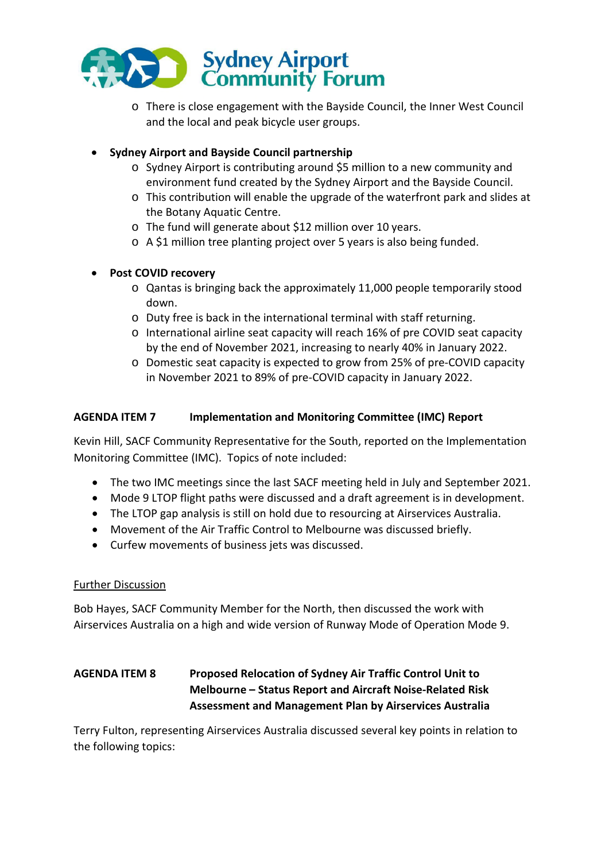

o There is close engagement with the Bayside Council, the Inner West Council and the local and peak bicycle user groups.

## **Sydney Airport and Bayside Council partnership**

- o Sydney Airport is contributing around \$5 million to a new community and environment fund created by the Sydney Airport and the Bayside Council.
- o This contribution will enable the upgrade of the waterfront park and slides at the Botany Aquatic Centre.
- o The fund will generate about \$12 million over 10 years.
- o A \$1 million tree planting project over 5 years is also being funded.

## **Post COVID recovery**

- o Qantas is bringing back the approximately 11,000 people temporarily stood down.
- o Duty free is back in the international terminal with staff returning.
- o International airline seat capacity will reach 16% of pre COVID seat capacity by the end of November 2021, increasing to nearly 40% in January 2022.
- o Domestic seat capacity is expected to grow from 25% of pre-COVID capacity in November 2021 to 89% of pre-COVID capacity in January 2022.

## **AGENDA ITEM 7 Implementation and Monitoring Committee (IMC) Report**

Kevin Hill, SACF Community Representative for the South, reported on the Implementation Monitoring Committee (IMC). Topics of note included:

- The two IMC meetings since the last SACF meeting held in July and September 2021.
- Mode 9 LTOP flight paths were discussed and a draft agreement is in development.
- The LTOP gap analysis is still on hold due to resourcing at Airservices Australia.
- Movement of the Air Traffic Control to Melbourne was discussed briefly.
- Curfew movements of business jets was discussed.

## Further Discussion

Bob Hayes, SACF Community Member for the North, then discussed the work with Airservices Australia on a high and wide version of Runway Mode of Operation Mode 9.

# **AGENDA ITEM 8 Proposed Relocation of Sydney Air Traffic Control Unit to Melbourne – Status Report and Aircraft Noise-Related Risk Assessment and Management Plan by Airservices Australia**

Terry Fulton, representing Airservices Australia discussed several key points in relation to the following topics: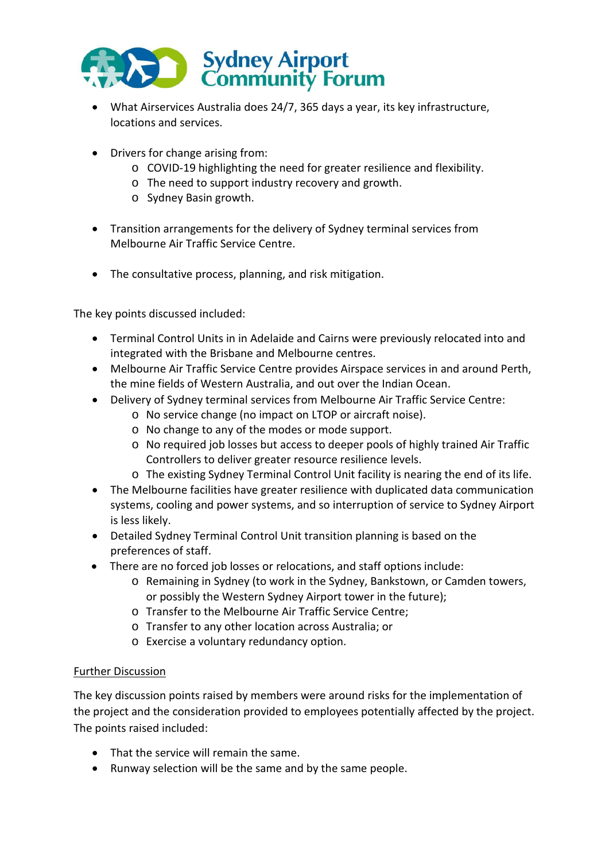

- What Airservices Australia does 24/7, 365 days a year, its key infrastructure, locations and services.
- Drivers for change arising from:
	- o COVID-19 highlighting the need for greater resilience and flexibility.
	- o The need to support industry recovery and growth.
	- o Sydney Basin growth.
- Transition arrangements for the delivery of Sydney terminal services from Melbourne Air Traffic Service Centre.
- The consultative process, planning, and risk mitigation.

The key points discussed included:

- Terminal Control Units in in Adelaide and Cairns were previously relocated into and integrated with the Brisbane and Melbourne centres.
- Melbourne Air Traffic Service Centre provides Airspace services in and around Perth, the mine fields of Western Australia, and out over the Indian Ocean.
- Delivery of Sydney terminal services from Melbourne Air Traffic Service Centre:
	- o No service change (no impact on LTOP or aircraft noise).
	- o No change to any of the modes or mode support.
	- o No required job losses but access to deeper pools of highly trained Air Traffic Controllers to deliver greater resource resilience levels.
	- o The existing Sydney Terminal Control Unit facility is nearing the end of its life.
- The Melbourne facilities have greater resilience with duplicated data communication systems, cooling and power systems, and so interruption of service to Sydney Airport is less likely.
- Detailed Sydney Terminal Control Unit transition planning is based on the preferences of staff.
- There are no forced job losses or relocations, and staff options include:
	- o Remaining in Sydney (to work in the Sydney, Bankstown, or Camden towers, or possibly the Western Sydney Airport tower in the future);
	- o Transfer to the Melbourne Air Traffic Service Centre;
	- o Transfer to any other location across Australia; or
	- o Exercise a voluntary redundancy option.

## Further Discussion

The key discussion points raised by members were around risks for the implementation of the project and the consideration provided to employees potentially affected by the project. The points raised included:

- That the service will remain the same.
- Runway selection will be the same and by the same people.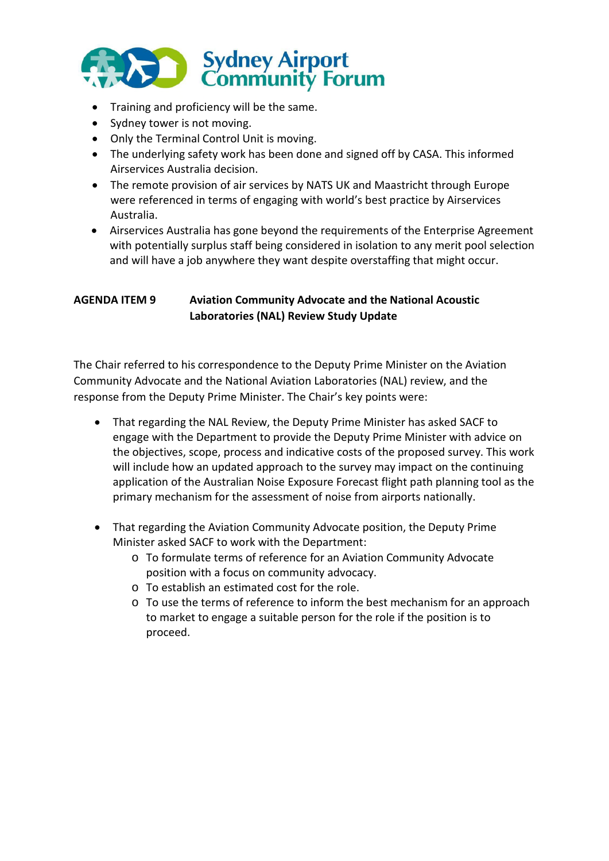

- Training and proficiency will be the same.
- Sydney tower is not moving.
- Only the Terminal Control Unit is moving.
- The underlying safety work has been done and signed off by CASA. This informed Airservices Australia decision.
- The remote provision of air services by NATS UK and Maastricht through Europe were referenced in terms of engaging with world's best practice by Airservices Australia.
- Airservices Australia has gone beyond the requirements of the Enterprise Agreement with potentially surplus staff being considered in isolation to any merit pool selection and will have a job anywhere they want despite overstaffing that might occur.

## **AGENDA ITEM 9 Aviation Community Advocate and the National Acoustic Laboratories (NAL) Review Study Update**

The Chair referred to his correspondence to the Deputy Prime Minister on the Aviation Community Advocate and the National Aviation Laboratories (NAL) review, and the response from the Deputy Prime Minister. The Chair's key points were:

- That regarding the NAL Review, the Deputy Prime Minister has asked SACF to engage with the Department to provide the Deputy Prime Minister with advice on the objectives, scope, process and indicative costs of the proposed survey. This work will include how an updated approach to the survey may impact on the continuing application of the Australian Noise Exposure Forecast flight path planning tool as the primary mechanism for the assessment of noise from airports nationally.
- That regarding the Aviation Community Advocate position, the Deputy Prime Minister asked SACF to work with the Department:
	- o To formulate terms of reference for an Aviation Community Advocate position with a focus on community advocacy.
	- o To establish an estimated cost for the role.
	- $\circ$  To use the terms of reference to inform the best mechanism for an approach to market to engage a suitable person for the role if the position is to proceed.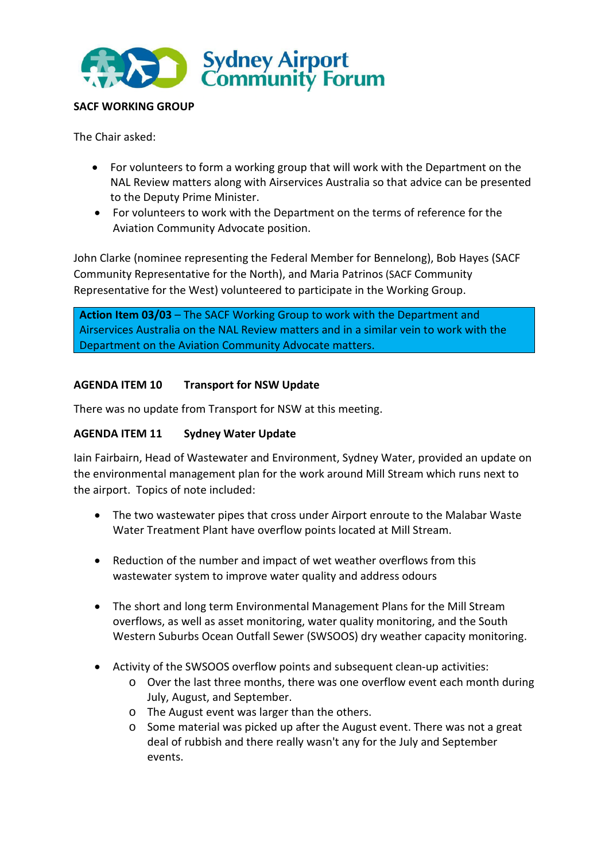

## **SACF WORKING GROUP**

The Chair asked:

- For volunteers to form a working group that will work with the Department on the NAL Review matters along with Airservices Australia so that advice can be presented to the Deputy Prime Minister.
- For volunteers to work with the Department on the terms of reference for the Aviation Community Advocate position.

John Clarke (nominee representing the Federal Member for Bennelong), Bob Hayes (SACF Community Representative for the North), and Maria Patrinos (SACF Community Representative for the West) volunteered to participate in the Working Group.

**Action Item 03/03** – The SACF Working Group to work with the Department and Airservices Australia on the NAL Review matters and in a similar vein to work with the Department on the Aviation Community Advocate matters.

## **AGENDA ITEM 10 Transport for NSW Update**

There was no update from Transport for NSW at this meeting.

## **AGENDA ITEM 11 Sydney Water Update**

Iain Fairbairn, Head of Wastewater and Environment, Sydney Water, provided an update on the environmental management plan for the work around Mill Stream which runs next to the airport. Topics of note included:

- The two wastewater pipes that cross under Airport enroute to the Malabar Waste Water Treatment Plant have overflow points located at Mill Stream.
- Reduction of the number and impact of wet weather overflows from this wastewater system to improve water quality and address odours
- The short and long term Environmental Management Plans for the Mill Stream overflows, as well as asset monitoring, water quality monitoring, and the South Western Suburbs Ocean Outfall Sewer (SWSOOS) dry weather capacity monitoring.
- Activity of the SWSOOS overflow points and subsequent clean-up activities:
	- o Over the last three months, there was one overflow event each month during July, August, and September.
	- o The August event was larger than the others.
	- o Some material was picked up after the August event. There was not a great deal of rubbish and there really wasn't any for the July and September events.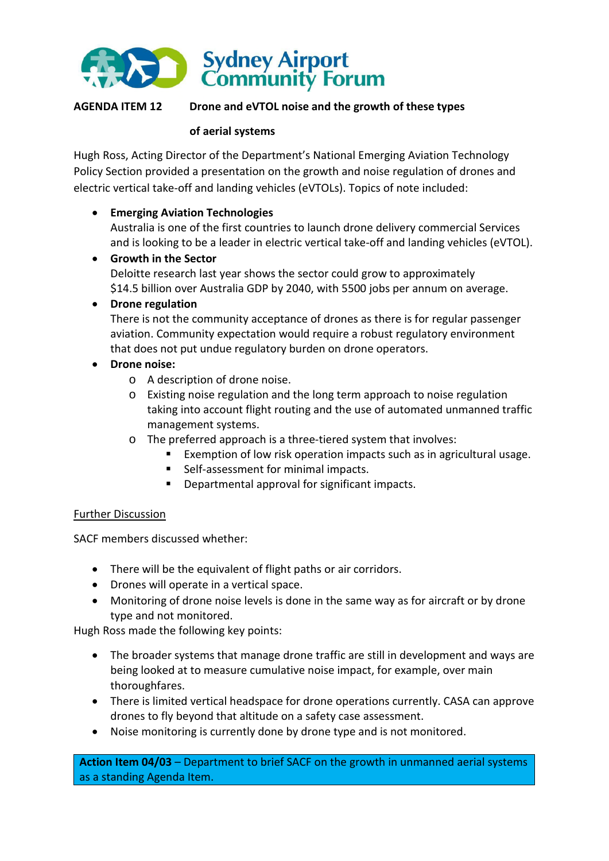

## **AGENDA ITEM 12 Drone and eVTOL noise and the growth of these types**

#### **of aerial systems**

Hugh Ross, Acting Director of the Department's National Emerging Aviation Technology Policy Section provided a presentation on the growth and noise regulation of drones and electric vertical take-off and landing vehicles (eVTOLs). Topics of note included:

## **Emerging Aviation Technologies**

Australia is one of the first countries to launch drone delivery commercial Services and is looking to be a leader in electric vertical take-off and landing vehicles (eVTOL).

 **Growth in the Sector**  Deloitte research last year shows the sector could grow to approximately \$14.5 billion over Australia GDP by 2040, with 5500 jobs per annum on average.

## **Drone regulation**

There is not the community acceptance of drones as there is for regular passenger aviation. Community expectation would require a robust regulatory environment that does not put undue regulatory burden on drone operators.

## **Drone noise:**

- o A description of drone noise.
- o Existing noise regulation and the long term approach to noise regulation taking into account flight routing and the use of automated unmanned traffic management systems.
- o The preferred approach is a three-tiered system that involves:
	- Exemption of low risk operation impacts such as in agricultural usage.
	- Self-assessment for minimal impacts.
	- **Departmental approval for significant impacts.**

#### Further Discussion

SACF members discussed whether:

- There will be the equivalent of flight paths or air corridors.
- Drones will operate in a vertical space.
- Monitoring of drone noise levels is done in the same way as for aircraft or by drone type and not monitored.

Hugh Ross made the following key points:

- The broader systems that manage drone traffic are still in development and ways are being looked at to measure cumulative noise impact, for example, over main thoroughfares.
- There is limited vertical headspace for drone operations currently. CASA can approve drones to fly beyond that altitude on a safety case assessment.
- Noise monitoring is currently done by drone type and is not monitored.

**Action Item 04/03** – Department to brief SACF on the growth in unmanned aerial systems as a standing Agenda Item.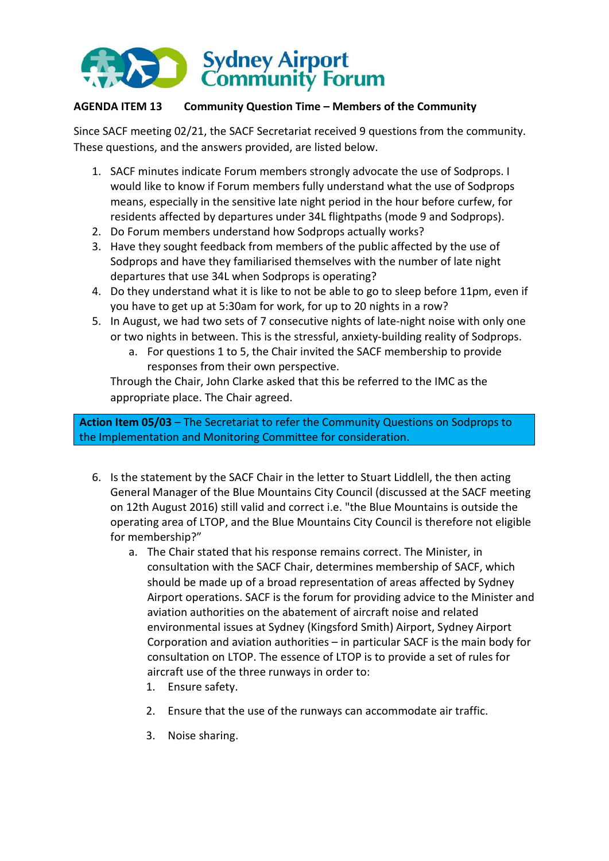

## **AGENDA ITEM 13 Community Question Time – Members of the Community**

Since SACF meeting 02/21, the SACF Secretariat received 9 questions from the community. These questions, and the answers provided, are listed below.

- 1. SACF minutes indicate Forum members strongly advocate the use of Sodprops. I would like to know if Forum members fully understand what the use of Sodprops means, especially in the sensitive late night period in the hour before curfew, for residents affected by departures under 34L flightpaths (mode 9 and Sodprops).
- 2. Do Forum members understand how Sodprops actually works?
- 3. Have they sought feedback from members of the public affected by the use of Sodprops and have they familiarised themselves with the number of late night departures that use 34L when Sodprops is operating?
- 4. Do they understand what it is like to not be able to go to sleep before 11pm, even if you have to get up at 5:30am for work, for up to 20 nights in a row?
- 5. In August, we had two sets of 7 consecutive nights of late-night noise with only one or two nights in between. This is the stressful, anxiety-building reality of Sodprops.
	- a. For questions 1 to 5, the Chair invited the SACF membership to provide responses from their own perspective.

Through the Chair, John Clarke asked that this be referred to the IMC as the appropriate place. The Chair agreed.

**Action Item 05/03** – The Secretariat to refer the Community Questions on Sodprops to the Implementation and Monitoring Committee for consideration.

- 6. Is the statement by the SACF Chair in the letter to Stuart Liddlell, the then acting General Manager of the Blue Mountains City Council (discussed at the SACF meeting on 12th August 2016) still valid and correct i.e. "the Blue Mountains is outside the operating area of LTOP, and the Blue Mountains City Council is therefore not eligible for membership?"
	- a. The Chair stated that his response remains correct. The Minister, in consultation with the SACF Chair, determines membership of SACF, which should be made up of a broad representation of areas affected by Sydney Airport operations. SACF is the forum for providing advice to the Minister and aviation authorities on the abatement of aircraft noise and related environmental issues at Sydney (Kingsford Smith) Airport, Sydney Airport Corporation and aviation authorities – in particular SACF is the main body for consultation on LTOP. The essence of LTOP is to provide a set of rules for aircraft use of the three runways in order to:
		- 1. Ensure safety.
		- 2. Ensure that the use of the runways can accommodate air traffic.
		- 3. Noise sharing.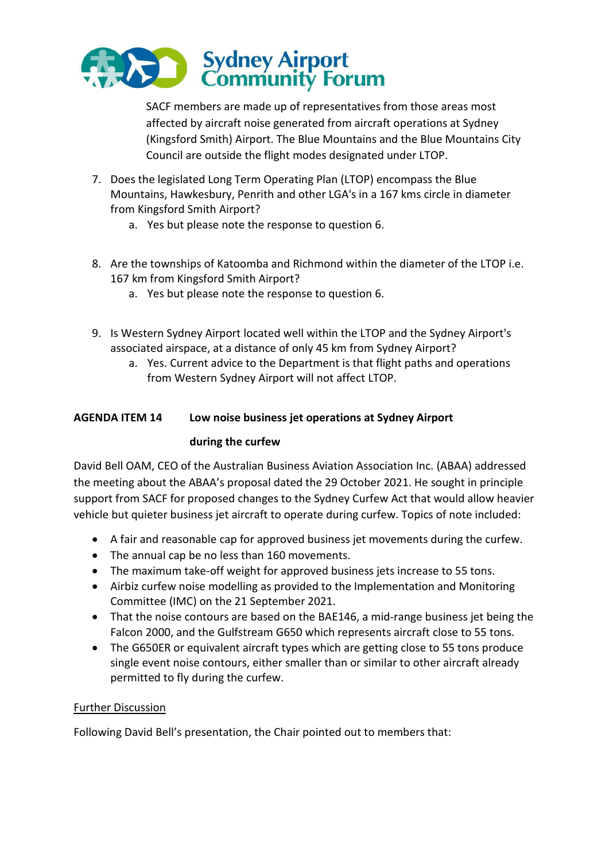

SACF members are made up of representatives from those areas most affected by aircraft noise generated from aircraft operations at Sydney (Kingsford Smith) Airport. The Blue Mountains and the Blue Mountains City Council are outside the flight modes designated under LTOP.

- 7. Does the legislated Long Term Operating Plan (LTOP) encompass the Blue Mountains, Hawkesbury, Penrith and other LGA's in a 167 kms circle in diameter from Kingsford Smith Airport?
	- a. Yes but please note the response to question 6.
- 8. Are the townships of Katoomba and Richmond within the diameter of the LTOP i.e. 167 km from Kingsford Smith Airport?
	- a. Yes but please note the response to question 6.
- 9. Is Western Sydney Airport located well within the LTOP and the Sydney Airport's associated airspace, at a distance of only 45 km from Sydney Airport?
	- a. Yes. Current advice to the Department is that flight paths and operations from Western Sydney Airport will not affect LTOP.

# **AGENDA ITEM 14 Low noise business jet operations at Sydney Airport**

## **during the curfew**

David Bell OAM, CEO of the Australian Business Aviation Association Inc. (ABAA) addressed the meeting about the ABAA's proposal dated the 29 October 2021. He sought in principle support from SACF for proposed changes to the Sydney Curfew Act that would allow heavier vehicle but quieter business jet aircraft to operate during curfew. Topics of note included:

- A fair and reasonable cap for approved business jet movements during the curfew.
- The annual cap be no less than 160 movements.
- The maximum take-off weight for approved business jets increase to 55 tons.
- Airbiz curfew noise modelling as provided to the Implementation and Monitoring Committee (IMC) on the 21 September 2021.
- That the noise contours are based on the BAE146, a mid-range business jet being the Falcon 2000, and the Gulfstream G650 which represents aircraft close to 55 tons.
- The G650ER or equivalent aircraft types which are getting close to 55 tons produce single event noise contours, either smaller than or similar to other aircraft already permitted to fly during the curfew.

## Further Discussion

Following David Bell's presentation, the Chair pointed out to members that: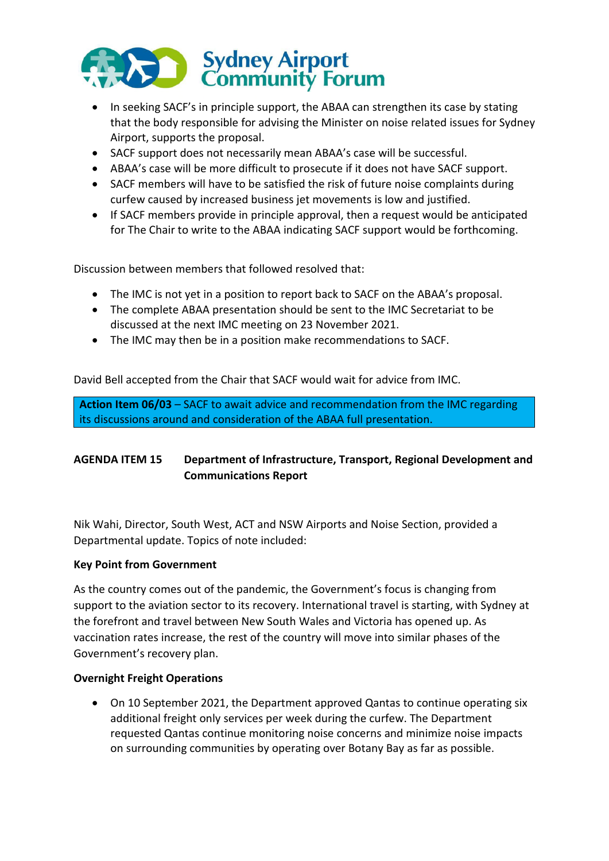

- In seeking SACF's in principle support, the ABAA can strengthen its case by stating that the body responsible for advising the Minister on noise related issues for Sydney Airport, supports the proposal.
- SACF support does not necessarily mean ABAA's case will be successful.
- ABAA's case will be more difficult to prosecute if it does not have SACF support.
- SACF members will have to be satisfied the risk of future noise complaints during curfew caused by increased business jet movements is low and justified.
- If SACF members provide in principle approval, then a request would be anticipated for The Chair to write to the ABAA indicating SACF support would be forthcoming.

Discussion between members that followed resolved that:

- The IMC is not yet in a position to report back to SACF on the ABAA's proposal.
- The complete ABAA presentation should be sent to the IMC Secretariat to be discussed at the next IMC meeting on 23 November 2021.
- The IMC may then be in a position make recommendations to SACF.

David Bell accepted from the Chair that SACF would wait for advice from IMC.

**Action Item 06/03** – SACF to await advice and recommendation from the IMC regarding its discussions around and consideration of the ABAA full presentation.

## **AGENDA ITEM 15 Department of Infrastructure, Transport, Regional Development and Communications Report**

Nik Wahi, Director, South West, ACT and NSW Airports and Noise Section, provided a Departmental update. Topics of note included:

#### **Key Point from Government**

As the country comes out of the pandemic, the Government's focus is changing from support to the aviation sector to its recovery. International travel is starting, with Sydney at the forefront and travel between New South Wales and Victoria has opened up. As vaccination rates increase, the rest of the country will move into similar phases of the Government's recovery plan.

#### **Overnight Freight Operations**

 On 10 September 2021, the Department approved Qantas to continue operating six additional freight only services per week during the curfew. The Department requested Qantas continue monitoring noise concerns and minimize noise impacts on surrounding communities by operating over Botany Bay as far as possible.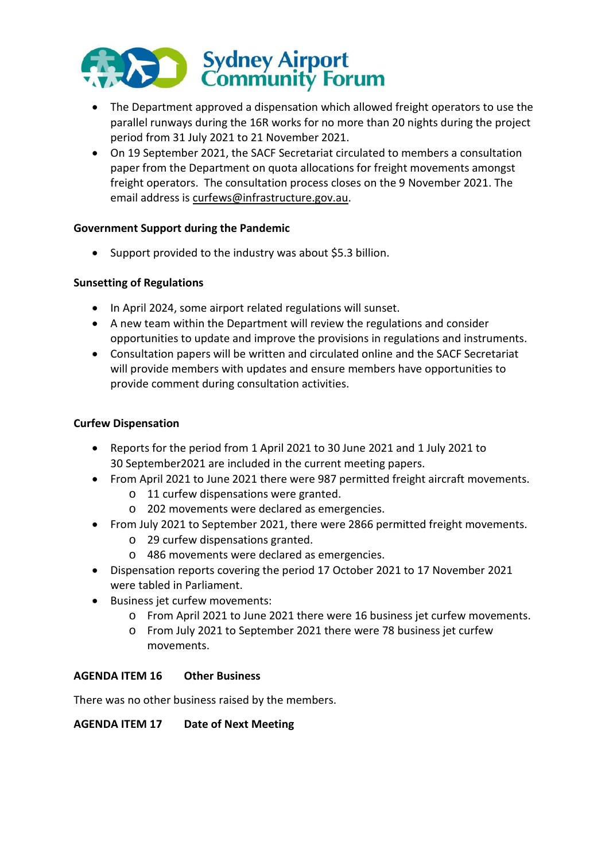

- The Department approved a dispensation which allowed freight operators to use the parallel runways during the 16R works for no more than 20 nights during the project period from 31 July 2021 to 21 November 2021.
- On 19 September 2021, the SACF Secretariat circulated to members a consultation paper from the Department on quota allocations for freight movements amongst freight operators. The consultation process closes on the 9 November 2021. The email address is [curfews@infrastructure.gov.au.](mailto:curfews@infrastructure.gov.au)

## **Government Support during the Pandemic**

Support provided to the industry was about \$5.3 billion.

## **Sunsetting of Regulations**

- In April 2024, some airport related regulations will sunset.
- A new team within the Department will review the regulations and consider opportunities to update and improve the provisions in regulations and instruments.
- Consultation papers will be written and circulated online and the SACF Secretariat will provide members with updates and ensure members have opportunities to provide comment during consultation activities.

## **Curfew Dispensation**

- Reports for the period from 1 April 2021 to 30 June 2021 and 1 July 2021 to 30 September2021 are included in the current meeting papers.
- From April 2021 to June 2021 there were 987 permitted freight aircraft movements.
	- o 11 curfew dispensations were granted.
	- o 202 movements were declared as emergencies.
- From July 2021 to September 2021, there were 2866 permitted freight movements.
	- o 29 curfew dispensations granted.
	- o 486 movements were declared as emergencies.
- Dispensation reports covering the period 17 October 2021 to 17 November 2021 were tabled in Parliament.
- Business jet curfew movements:
	- o From April 2021 to June 2021 there were 16 business jet curfew movements.
	- o From July 2021 to September 2021 there were 78 business jet curfew movements.

## **AGENDA ITEM 16 Other Business**

There was no other business raised by the members.

## **AGENDA ITEM 17 Date of Next Meeting**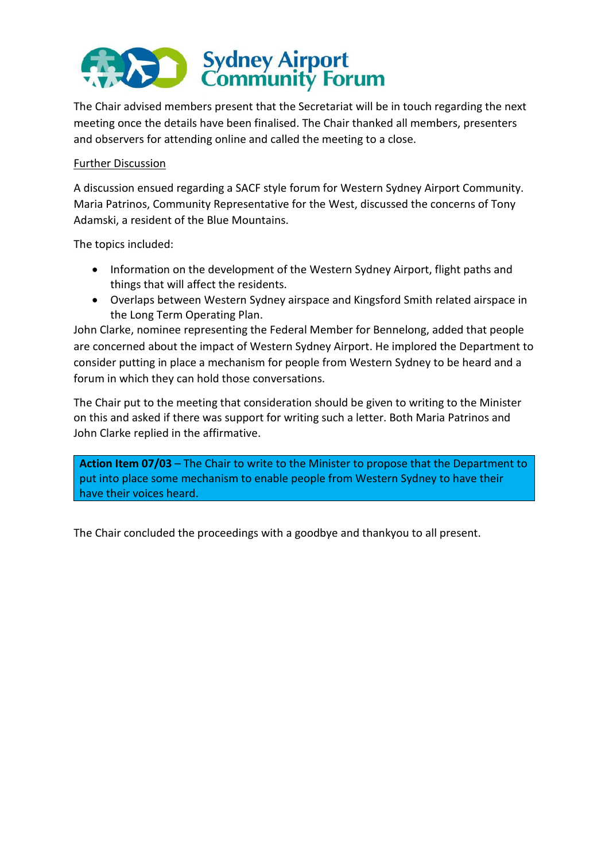

The Chair advised members present that the Secretariat will be in touch regarding the next meeting once the details have been finalised. The Chair thanked all members, presenters and observers for attending online and called the meeting to a close.

## Further Discussion

A discussion ensued regarding a SACF style forum for Western Sydney Airport Community. Maria Patrinos, Community Representative for the West, discussed the concerns of Tony Adamski, a resident of the Blue Mountains.

The topics included:

- Information on the development of the Western Sydney Airport, flight paths and things that will affect the residents.
- Overlaps between Western Sydney airspace and Kingsford Smith related airspace in the Long Term Operating Plan.

John Clarke, nominee representing the Federal Member for Bennelong, added that people are concerned about the impact of Western Sydney Airport. He implored the Department to consider putting in place a mechanism for people from Western Sydney to be heard and a forum in which they can hold those conversations.

The Chair put to the meeting that consideration should be given to writing to the Minister on this and asked if there was support for writing such a letter. Both Maria Patrinos and John Clarke replied in the affirmative.

**Action Item 07/03** – The Chair to write to the Minister to propose that the Department to put into place some mechanism to enable people from Western Sydney to have their have their voices heard.

The Chair concluded the proceedings with a goodbye and thankyou to all present.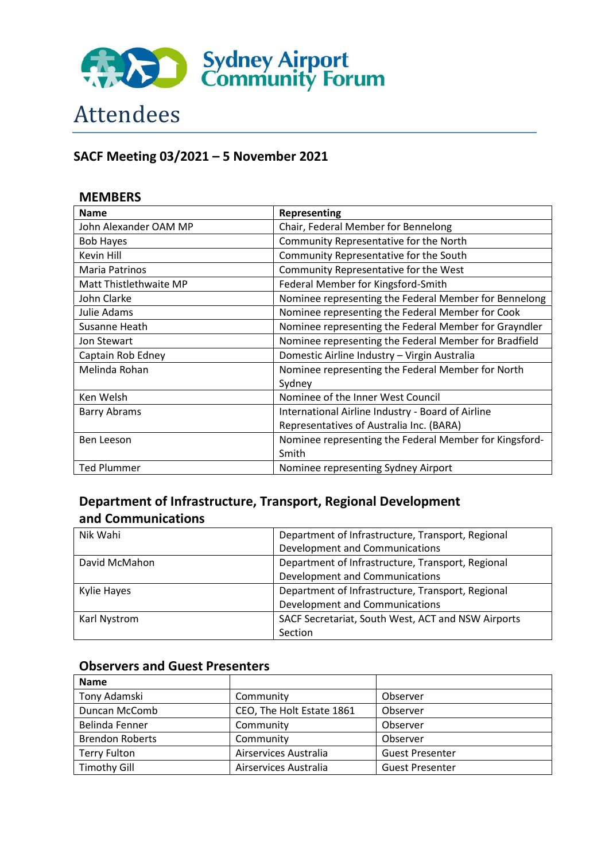

# Attendees

# **SACF Meeting 03/2021 – 5 November 2021**

## **MEMBERS Name Representing** John Alexander OAM MP Chair, Federal Member for Bennelong Bob Hayes Community Representative for the North Kevin Hill Community Representative for the South Maria Patrinos **Community Representative for the West** Matt Thistlethwaite MP Federal Member for Kingsford-Smith John Clarke Nominee representing the Federal Member for Bennelong Julie Adams **Nominee representing the Federal Member for Cook** Susanne Heath Nominee representing the Federal Member for Grayndler Jon Stewart **Nominee representing the Federal Member for Bradfield** Captain Rob Edney **Captain Rob Edney** Domestic Airline Industry – Virgin Australia Melinda Rohan Nominee representing the Federal Member for North Sydney Ken Welsh Nominee of the Inner West Council Barry Abrams **International Airline Industry - Board of Airline** Representatives of Australia Inc. (BARA) Ben Leeson **Nominee representing the Federal Member for Kingsford-**Smith Ted Plummer Nominee representing Sydney Airport

# **Department of Infrastructure, Transport, Regional Development and Communications**

| Nik Wahi      | Department of Infrastructure, Transport, Regional  |  |
|---------------|----------------------------------------------------|--|
|               | Development and Communications                     |  |
| David McMahon | Department of Infrastructure, Transport, Regional  |  |
|               | Development and Communications                     |  |
| Kylie Hayes   | Department of Infrastructure, Transport, Regional  |  |
|               | Development and Communications                     |  |
| Karl Nystrom  | SACF Secretariat, South West, ACT and NSW Airports |  |
|               | Section                                            |  |

## **Observers and Guest Presenters**

| <b>Name</b>            |                           |                        |
|------------------------|---------------------------|------------------------|
| Tony Adamski           | Community                 | Observer               |
| Duncan McComb          | CEO, The Holt Estate 1861 | Observer               |
| Belinda Fenner         | Community                 | Observer               |
| <b>Brendon Roberts</b> | Community                 | Observer               |
| <b>Terry Fulton</b>    | Airservices Australia     | <b>Guest Presenter</b> |
| <b>Timothy Gill</b>    | Airservices Australia     | <b>Guest Presenter</b> |